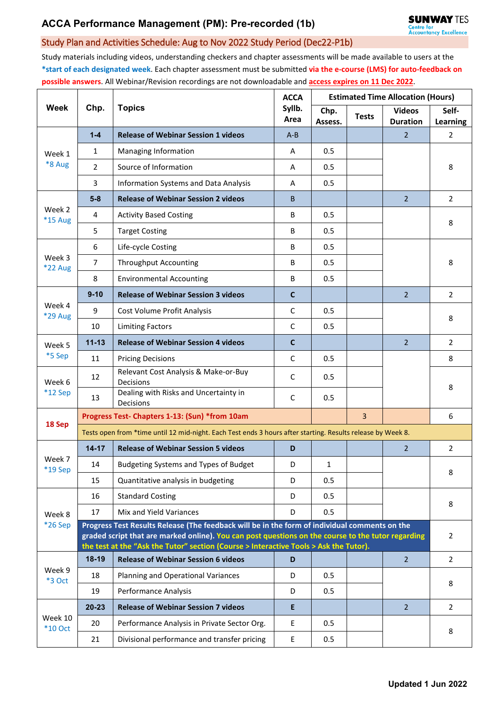## Study Plan and Activities Schedule: Aug to Nov 2022 Study Period (Dec22-P1b)

Study materials including videos, understanding checkers and chapter assessments will be made available to users at the **\*start of each designated week**. Each chapter assessment must be submitted **via the e-course (LMS) for auto-feedback on possible answers**. All Webinar/Revision recordings are not downloadable and **access expires on 11 Dec 2022**.

| Week                     | Chp.                                                                                                                                                                                                | <b>Topics</b>                                                                         | <b>ACCA</b><br>Syllb.<br>Area | <b>Estimated Time Allocation (Hours)</b> |              |                                  |                          |  |  |  |
|--------------------------|-----------------------------------------------------------------------------------------------------------------------------------------------------------------------------------------------------|---------------------------------------------------------------------------------------|-------------------------------|------------------------------------------|--------------|----------------------------------|--------------------------|--|--|--|
|                          |                                                                                                                                                                                                     |                                                                                       |                               | Chp.<br>Assess.                          | <b>Tests</b> | <b>Videos</b><br><b>Duration</b> | Self-<br><b>Learning</b> |  |  |  |
| Week 1<br>*8 Aug         | $1-4$                                                                                                                                                                                               | <b>Release of Webinar Session 1 videos</b>                                            | $A - B$                       |                                          |              | $\overline{2}$                   | 2                        |  |  |  |
|                          | $\mathbf{1}$                                                                                                                                                                                        | Managing Information                                                                  | A                             | 0.5                                      |              |                                  |                          |  |  |  |
|                          | $\overline{2}$                                                                                                                                                                                      | Source of Information                                                                 | A                             | 0.5                                      |              |                                  | 8                        |  |  |  |
|                          | 3                                                                                                                                                                                                   | Information Systems and Data Analysis                                                 | A                             | 0.5                                      |              |                                  |                          |  |  |  |
| Week 2<br>*15 Aug        | $5-8$                                                                                                                                                                                               | <b>Release of Webinar Session 2 videos</b>                                            | B                             |                                          |              | $\overline{2}$                   | $\overline{2}$           |  |  |  |
|                          | 4                                                                                                                                                                                                   | <b>Activity Based Costing</b>                                                         | B                             | 0.5                                      |              |                                  | 8                        |  |  |  |
|                          | 5                                                                                                                                                                                                   | <b>Target Costing</b>                                                                 | B                             | 0.5                                      |              |                                  |                          |  |  |  |
| Week 3<br>*22 Aug        | 6                                                                                                                                                                                                   | Life-cycle Costing                                                                    | В                             | 0.5                                      |              |                                  |                          |  |  |  |
|                          | $\overline{7}$                                                                                                                                                                                      | <b>Throughput Accounting</b>                                                          | В                             | 0.5                                      |              |                                  | 8                        |  |  |  |
|                          | 8                                                                                                                                                                                                   | <b>Environmental Accounting</b>                                                       | B                             | 0.5                                      |              |                                  |                          |  |  |  |
|                          | $9 - 10$                                                                                                                                                                                            | <b>Release of Webinar Session 3 videos</b>                                            | $\mathbf c$                   |                                          |              | $\overline{2}$                   | $2^{\circ}$              |  |  |  |
| Week 4<br><b>*29 Aug</b> | 9                                                                                                                                                                                                   | Cost Volume Profit Analysis                                                           | C                             | 0.5                                      |              |                                  |                          |  |  |  |
|                          | 10                                                                                                                                                                                                  | <b>Limiting Factors</b>                                                               | C                             | 0.5                                      |              |                                  | 8                        |  |  |  |
| Week 5<br>*5 Sep         | $11 - 13$                                                                                                                                                                                           | <b>Release of Webinar Session 4 videos</b>                                            | $\mathbf c$                   |                                          |              | $\overline{2}$                   | $\overline{2}$           |  |  |  |
|                          | 11                                                                                                                                                                                                  | <b>Pricing Decisions</b>                                                              | $\mathsf{C}$                  | 0.5                                      |              |                                  | 8                        |  |  |  |
| Week 6<br>$*12$ Sep      | 12                                                                                                                                                                                                  | Relevant Cost Analysis & Make-or-Buy<br>Decisions                                     | C                             | 0.5                                      |              |                                  | 8                        |  |  |  |
|                          | 13                                                                                                                                                                                                  | Dealing with Risks and Uncertainty in<br>Decisions                                    | C                             | 0.5                                      |              |                                  |                          |  |  |  |
| 18 Sep                   | Progress Test- Chapters 1-13: (Sun) *from 10am<br>$\overline{3}$                                                                                                                                    |                                                                                       |                               |                                          |              |                                  |                          |  |  |  |
|                          | Tests open from *time until 12 mid-night. Each Test ends 3 hours after starting. Results release by Week 8.                                                                                         |                                                                                       |                               |                                          |              |                                  |                          |  |  |  |
| Week 7<br>*19 Sep        | $14 - 17$                                                                                                                                                                                           | <b>Release of Webinar Session 5 videos</b>                                            | D                             |                                          |              | $\overline{2}$                   | $\overline{2}$           |  |  |  |
|                          | 14                                                                                                                                                                                                  | <b>Budgeting Systems and Types of Budget</b>                                          | D                             | 1                                        |              |                                  | 8                        |  |  |  |
|                          | 15                                                                                                                                                                                                  | Quantitative analysis in budgeting                                                    | D                             | 0.5                                      |              |                                  |                          |  |  |  |
|                          | 16                                                                                                                                                                                                  | <b>Standard Costing</b>                                                               | D                             | 0.5                                      |              |                                  | 8                        |  |  |  |
| Week 8                   | 17                                                                                                                                                                                                  | Mix and Yield Variances                                                               | D                             | 0.5                                      |              |                                  |                          |  |  |  |
| *26 Sep                  | Progress Test Results Release (The feedback will be in the form of individual comments on the<br>graded script that are marked online). You can post questions on the course to the tutor regarding |                                                                                       |                               |                                          |              |                                  |                          |  |  |  |
|                          |                                                                                                                                                                                                     | the test at the "Ask the Tutor" section (Course > Interactive Tools > Ask the Tutor). |                               |                                          |              |                                  | $\overline{2}$           |  |  |  |
|                          | $18-19$                                                                                                                                                                                             | <b>Release of Webinar Session 6 videos</b>                                            | D                             |                                          |              | $\overline{2}$                   | $\overline{2}$           |  |  |  |
| Week 9<br>*3 Oct         | 18                                                                                                                                                                                                  | Planning and Operational Variances                                                    | D                             | 0.5                                      |              |                                  |                          |  |  |  |
|                          | 19                                                                                                                                                                                                  | Performance Analysis                                                                  | D                             | 0.5                                      |              |                                  | 8                        |  |  |  |
| Week 10<br>$*10$ Oct     | $20 - 23$                                                                                                                                                                                           | <b>Release of Webinar Session 7 videos</b>                                            | E                             |                                          |              | $\overline{2}$                   | $\overline{2}$           |  |  |  |
|                          | 20                                                                                                                                                                                                  | Performance Analysis in Private Sector Org.                                           | E                             | 0.5                                      |              |                                  |                          |  |  |  |
|                          | 21                                                                                                                                                                                                  | Divisional performance and transfer pricing                                           | E                             | 0.5                                      |              |                                  | 8                        |  |  |  |